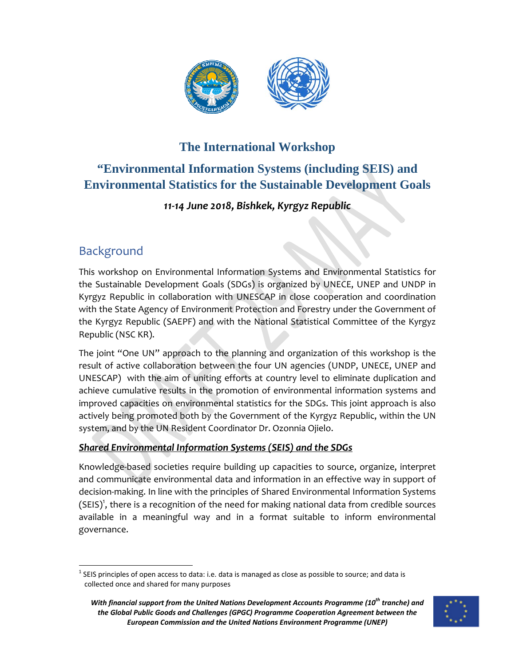

## **The International Workshop**

## **"Environmental Information Systems (including SEIS) and Environmental Statistics for the Sustainable Development Goals**

### *11‐14 June 2018, Bishkek, Kyrgyz Republic*

## Background

This workshop on Environmental Information Systems and Environmental Statistics for the Sustainable Development Goals (SDGs) is organized by UNECE, UNEP and UNDP in Kyrgyz Republic in collaboration with UNESCAP in close cooperation and coordination with the State Agency of Environment Protection and Forestry under the Government of the Kyrgyz Republic (SAEPF) and with the National Statistical Committee of the Kyrgyz Republic (NSC KR).

The joint "One UN" approach to the planning and organization of this workshop is the result of active collaboration between the four UN agencies (UNDP, UNECE, UNEP and UNESCAP) with the aim of uniting efforts at country level to eliminate duplication and achieve cumulative results in the promotion of environmental information systems and improved capacities on environmental statistics for the SDGs. This joint approach is also actively being promoted both by the Government of the Kyrgyz Republic, within the UN system, and by the UN Resident Coordinator Dr. Ozonnia Ojielo.

### *Shared Environmental Information Systems (SEIS) and the SDGs*

Knowledge‐based societies require building up capacities to source, organize, interpret and communicate environmental data and information in an effective way in support of decision‐making. In line with the principles of Shared Environmental Information Systems (SEIS)<sup>1</sup>, there is a recognition of the need for making national data from credible sources available in a meaningful way and in a format suitable to inform environmental governance.

*With financial support from the United Nations Development Accounts Programme (10th tranche) and the Global Public Goods and Challenges (GPGC) Programme Cooperation Agreement between the European Commission and the United Nations Environment Programme (UNEP)*



  $<sup>1</sup>$  SEIS principles of open access to data: i.e. data is managed as close as possible to source; and data is</sup> collected once and shared for many purposes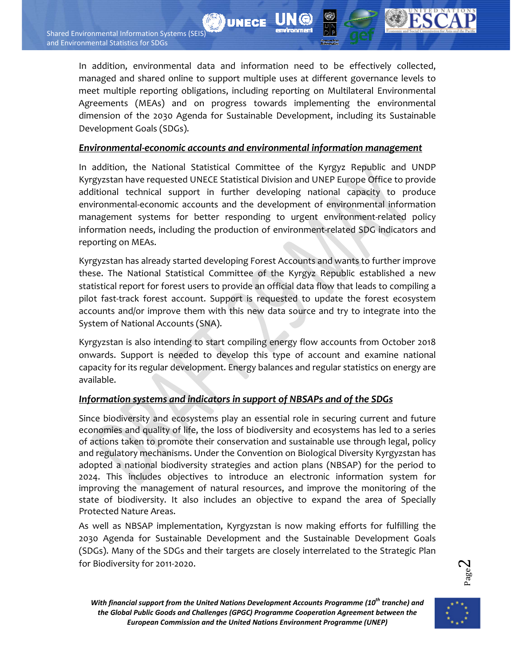In addition, environmental data and information need to be effectively collected, managed and shared online to support multiple uses at different governance levels to meet multiple reporting obligations, including reporting on Multilateral Environmental Agreements (MEAs) and on progress towards implementing the environmental dimension of the 2030 Agenda for Sustainable Development, including its Sustainable Development Goals (SDGs).

**WUNECE** 

#### *Environmental‐economic accounts and environmental information management*

In addition, the National Statistical Committee of the Kyrgyz Republic and UNDP Kyrgyzstan have requested UNECE Statistical Division and UNEP Europe Office to provide additional technical support in further developing national capacity to produce environmental‐economic accounts and the development of environmental information management systems for better responding to urgent environment‐related policy information needs, including the production of environment‐related SDG indicators and reporting on MEAs.

Kyrgyzstan has already started developing Forest Accounts and wants to further improve these. The National Statistical Committee of the Kyrgyz Republic established a new statistical report for forest users to provide an official data flow that leads to compiling a pilot fast-track forest account. Support is requested to update the forest ecosystem accounts and/or improve them with this new data source and try to integrate into the System of National Accounts (SNA).

Kyrgyzstan is also intending to start compiling energy flow accounts from October 2018 onwards. Support is needed to develop this type of account and examine national capacity for its regular development. Energy balances and regular statistics on energy are available.

#### *Information systems and indicators in support of NBSAPs and of the SDGs*

Since biodiversity and ecosystems play an essential role in securing current and future economies and quality of life, the loss of biodiversity and ecosystems has led to a series of actions taken to promote their conservation and sustainable use through legal, policy and regulatory mechanisms. Under the Convention on Biological Diversity Kyrgyzstan has adopted a national biodiversity strategies and action plans (NBSAP) for the period to 2024. This includes objectives to introduce an electronic information system for improving the management of natural resources, and improve the monitoring of the state of biodiversity. It also includes an objective to expand the area of Specially Protected Nature Areas.

As well as NBSAP implementation, Kyrgyzstan is now making efforts for fulfilling the 2030 Agenda for Sustainable Development and the Sustainable Development Goals (SDGs). Many of the SDGs and their targets are closely interrelated to the Strategic Plan for Biodiversity for 2011‐2020.

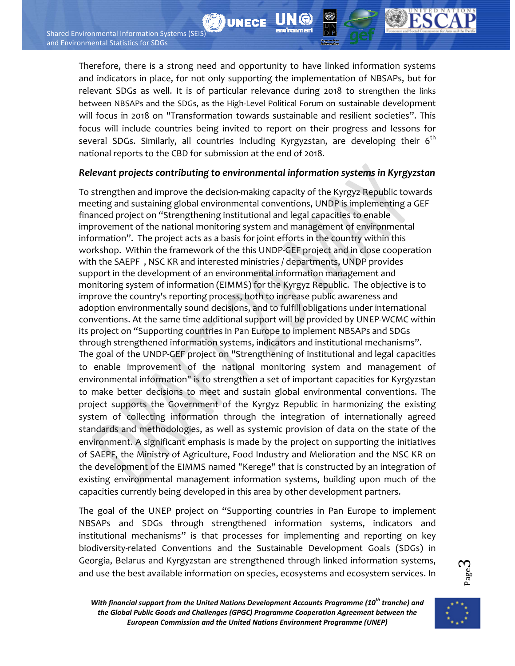Therefore, there is a strong need and opportunity to have linked information systems and indicators in place, for not only supporting the implementation of NBSAPs, but for relevant SDGs as well. It is of particular relevance during 2018 to strengthen the links between NBSAPs and the SDGs, as the High‐Level Political Forum on sustainable development will focus in 2018 on "Transformation towards sustainable and resilient societies". This focus will include countries being invited to report on their progress and lessons for several SDGs. Similarly, all countries including Kyrgyzstan, are developing their  $6<sup>th</sup>$ national reports to the CBD for submission at the end of 2018.

**DUNECE** 

#### *Relevant projects contributing to environmental information systems in Kyrgyzstan*

To strengthen and improve the decision‐making capacity of the Kyrgyz Republic towards meeting and sustaining global environmental conventions, UNDP is implementing a GEF financed project on "Strengthening institutional and legal capacities to enable improvement of the national monitoring system and management of environmental information". The project acts as a basis for joint efforts in the country within this workshop. Within the framework of the this UNDP‐GEF project and in close cooperation with the SAEPF , NSC KR and interested ministries / departments, UNDP provides support in the development of an environmental information management and monitoring system of information (EIMMS) for the Kyrgyz Republic. The objective is to improve the country's reporting process, both to increase public awareness and adoption environmentally sound decisions, and to fulfill obligations under international conventions. At the same time additional support will be provided by UNEP‐WCMC within its project on "Supporting countries in Pan Europe to implement NBSAPs and SDGs through strengthened information systems, indicators and institutional mechanisms". The goal of the UNDP‐GEF project on "Strengthening of institutional and legal capacities to enable improvement of the national monitoring system and management of environmental information" is to strengthen a set of important capacities for Kyrgyzstan to make better decisions to meet and sustain global environmental conventions. The project supports the Government of the Kyrgyz Republic in harmonizing the existing system of collecting information through the integration of internationally agreed standards and methodologies, as well as systemic provision of data on the state of the environment. A significant emphasis is made by the project on supporting the initiatives of SAEPF, the Ministry of Agriculture, Food Industry and Melioration and the NSC KR on the development of the EIMMS named "Kerege" that is constructed by an integration of existing environmental management information systems, building upon much of the capacities currently being developed in this area by other development partners.

The goal of the UNEP project on "Supporting countries in Pan Europe to implement NBSAPs and SDGs through strengthened information systems, indicators and institutional mechanisms" is that processes for implementing and reporting on key biodiversity-related Conventions and the Sustainable Development Goals (SDGs) in Georgia, Belarus and Kyrgyzstan are strengthened through linked information systems, and use the best available information on species, ecosystems and ecosystem services. In



*With financial support from the United Nations Development Accounts Programme (10th tranche) and the Global Public Goods and Challenges (GPGC) Programme Cooperation Agreement between the European Commission and the United Nations Environment Programme (UNEP)*

Page3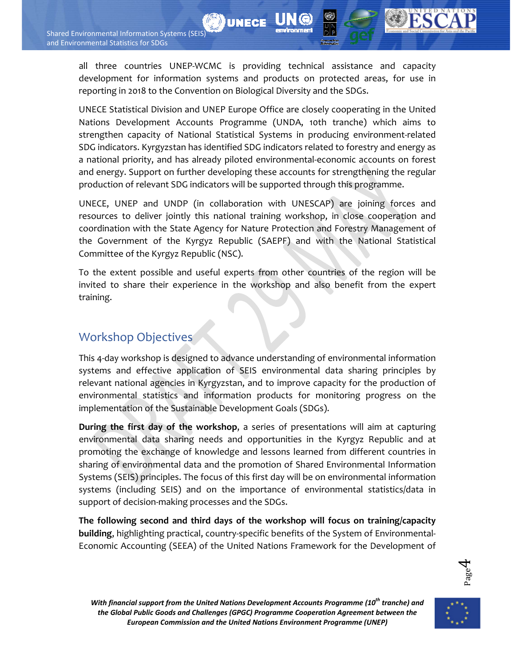all three countries UNEP‐WCMC is providing technical assistance and capacity development for information systems and products on protected areas, for use in reporting in 2018 to the Convention on Biological Diversity and the SDGs.

**DI UNECE** 

UNECE Statistical Division and UNEP Europe Office are closely cooperating in the United Nations Development Accounts Programme (UNDA, 10th tranche) which aims to strengthen capacity of National Statistical Systems in producing environment-related SDG indicators. Kyrgyzstan has identified SDG indicators related to forestry and energy as a national priority, and has already piloted environmental‐economic accounts on forest and energy. Support on further developing these accounts for strengthening the regular production of relevant SDG indicators will be supported through this programme.

UNECE, UNEP and UNDP (in collaboration with UNESCAP) are joining forces and resources to deliver jointly this national training workshop, in close cooperation and coordination with the State Agency for Nature Protection and Forestry Management of the Government of the Kyrgyz Republic (SAEPF) and with the National Statistical Committee of the Kyrgyz Republic (NSC).

To the extent possible and useful experts from other countries of the region will be invited to share their experience in the workshop and also benefit from the expert training.

## Workshop Objectives

This 4‐day workshop is designed to advance understanding of environmental information systems and effective application of SEIS environmental data sharing principles by relevant national agencies in Kyrgyzstan, and to improve capacity for the production of environmental statistics and information products for monitoring progress on the implementation of the Sustainable Development Goals (SDGs).

**During the first day of the workshop**, a series of presentations will aim at capturing environmental data sharing needs and opportunities in the Kyrgyz Republic and at promoting the exchange of knowledge and lessons learned from different countries in sharing of environmental data and the promotion of Shared Environmental Information Systems (SEIS) principles. The focus of this first day will be on environmental information systems (including SEIS) and on the importance of environmental statistics/data in support of decision-making processes and the SDGs.

**The following second and third days of the workshop will focus on training/capacity building**, highlighting practical, country‐specific benefits of the System of Environmental‐ Economic Accounting (SEEA) of the United Nations Framework for the Development of



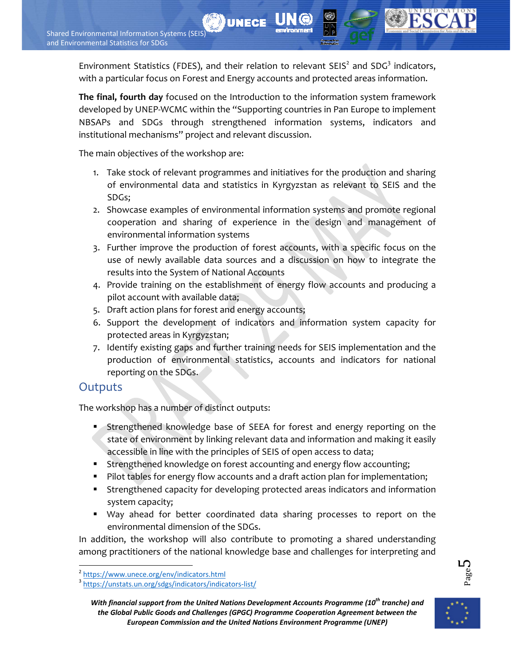Environment Statistics (FDES), and their relation to relevant  $SEIS<sup>2</sup>$  and  $SDG<sup>3</sup>$  indicators, with a particular focus on Forest and Energy accounts and protected areas information.

**UNECE** 

**The final, fourth day** focused on the Introduction to the information system framework developed by UNEP‐WCMC within the "Supporting countries in Pan Europe to implement NBSAPs and SDGs through strengthened information systems, indicators and institutional mechanisms" project and relevant discussion.

The main objectives of the workshop are:

- 1. Take stock of relevant programmes and initiatives for the production and sharing of environmental data and statistics in Kyrgyzstan as relevant to SEIS and the SDGs;
- 2. Showcase examples of environmental information systems and promote regional cooperation and sharing of experience in the design and management of environmental information systems
- 3. Further improve the production of forest accounts, with a specific focus on the use of newly available data sources and a discussion on how to integrate the results into the System of National Accounts
- 4. Provide training on the establishment of energy flow accounts and producing a pilot account with available data;
- 5. Draft action plans for forest and energy accounts;
- 6. Support the development of indicators and information system capacity for protected areas in Kyrgyzstan;
- 7. Identify existing gaps and further training needs for SEIS implementation and the production of environmental statistics, accounts and indicators for national reporting on the SDGs.

### **Outputs**

The workshop has a number of distinct outputs:

- Strengthened knowledge base of SEEA for forest and energy reporting on the state of environment by linking relevant data and information and making it easily accessible in line with the principles of SEIS of open access to data;
- **Strengthened knowledge on forest accounting and energy flow accounting;**
- Pilot tables for energy flow accounts and a draft action plan for implementation;
- Strengthened capacity for developing protected areas indicators and information system capacity;
- Way ahead for better coordinated data sharing processes to report on the environmental dimension of the SDGs.

In addition, the workshop will also contribute to promoting a shared understanding among practitioners of the national knowledge base and challenges for interpreting and

**L**<br>Page <sup>1</sup>

<sup>&</sup>lt;sup>2</sup> https://www.unece.org/env/indicators.html

<sup>&</sup>lt;sup>3</sup> https://unstats.un.org/sdgs/indicators/indicators-list/

*With financial support from the United Nations Development Accounts Programme (10th tranche) and the Global Public Goods and Challenges (GPGC) Programme Cooperation Agreement between the European Commission and the United Nations Environment Programme (UNEP)*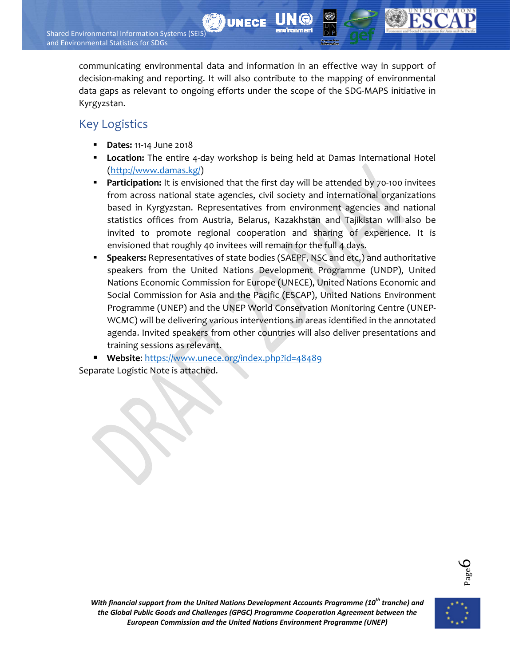communicating environmental data and information in an effective way in support of decision‐making and reporting. It will also contribute to the mapping of environmental data gaps as relevant to ongoing efforts under the scope of the SDG‐MAPS initiative in Kyrgyzstan.

**UNECE** 

### Key Logistics

- **Dates:** 11‐14 June 2018
- **Location:** The entire 4-day workshop is being held at Damas International Hotel (http://www.damas.kg/)
- **Participation:** It is envisioned that the first day will be attended by 70-100 invitees from across national state agencies, civil society and international organizations based in Kyrgyzstan. Representatives from environment agencies and national statistics offices from Austria, Belarus, Kazakhstan and Tajikistan will also be invited to promote regional cooperation and sharing of experience. It is envisioned that roughly 40 invitees will remain for the full 4 days.
- **Speakers:** Representatives of state bodies (SAEPF, NSC and etc,) and authoritative speakers from the United Nations Development Programme (UNDP), United Nations Economic Commission for Europe (UNECE), United Nations Economic and Social Commission for Asia and the Pacific (ESCAP), United Nations Environment Programme (UNEP) and the UNEP World Conservation Monitoring Centre (UNEP‐ WCMC) will be delivering various interventions in areas identified in the annotated agenda. Invited speakers from other countries will also deliver presentations and training sessions as relevant.
- **Website**: https://www.unece.org/index.php?id=48489

Separate Logistic Note is attached.



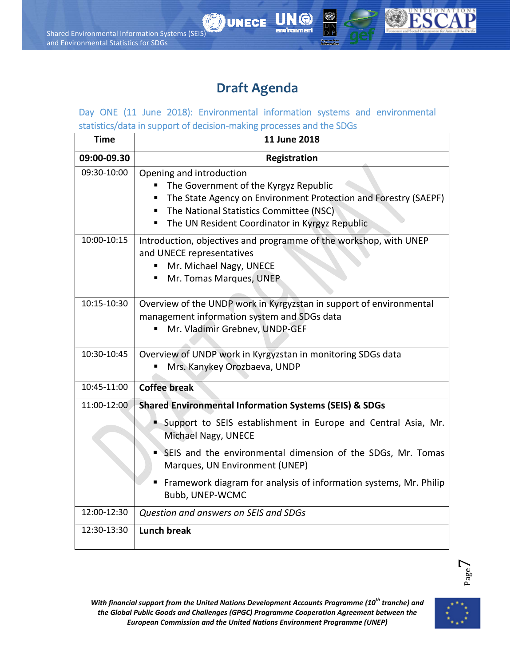# **Draft Agenda**

**UNECE** 

Day ONE (11 June 2018): Environmental information systems and environmental statistics/data in support of decision‐making processes and the SDGs

| <b>Time</b> | 11 June 2018                                                                                                                                                                                                                           |
|-------------|----------------------------------------------------------------------------------------------------------------------------------------------------------------------------------------------------------------------------------------|
| 09:00-09.30 | <b>Registration</b>                                                                                                                                                                                                                    |
| 09:30-10:00 | Opening and introduction<br>The Government of the Kyrgyz Republic<br>The State Agency on Environment Protection and Forestry (SAEPF)<br>The National Statistics Committee (NSC)<br>The UN Resident Coordinator in Kyrgyz Republic<br>٠ |
| 10:00-10:15 | Introduction, objectives and programme of the workshop, with UNEP<br>and UNECE representatives<br>Mr. Michael Nagy, UNECE<br>$\blacksquare$<br>Mr. Tomas Marques, UNEP<br>٠                                                            |
| 10:15-10:30 | Overview of the UNDP work in Kyrgyzstan in support of environmental<br>management information system and SDGs data<br>Mr. Vladimir Grebnev, UNDP-GEF                                                                                   |
| 10:30-10:45 | Overview of UNDP work in Kyrgyzstan in monitoring SDGs data<br>Mrs. Kanykey Orozbaeva, UNDP                                                                                                                                            |
| 10:45-11:00 | <b>Coffee break</b>                                                                                                                                                                                                                    |
| 11:00-12:00 | <b>Shared Environmental Information Systems (SEIS) &amp; SDGs</b>                                                                                                                                                                      |
|             | Support to SEIS establishment in Europe and Central Asia, Mr.<br>Michael Nagy, UNECE                                                                                                                                                   |
|             | SEIS and the environmental dimension of the SDGs, Mr. Tomas<br>Marques, UN Environment (UNEP)                                                                                                                                          |
|             | Framework diagram for analysis of information systems, Mr. Philip<br>Bubb, UNEP-WCMC                                                                                                                                                   |
| 12:00-12:30 | Question and answers on SEIS and SDGs                                                                                                                                                                                                  |
| 12:30-13:30 | <b>Lunch break</b>                                                                                                                                                                                                                     |



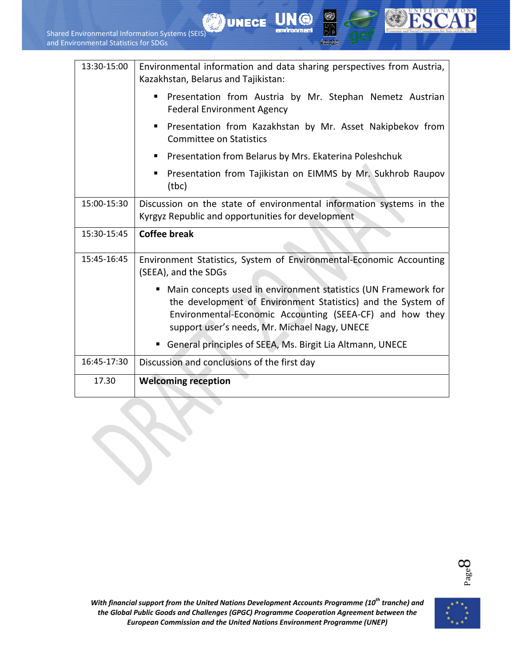| 13:30-15:00 | Environmental information and data sharing perspectives from Austria,<br>Kazakhstan, Belarus and Tajikistan:                                                                                                                                  |
|-------------|-----------------------------------------------------------------------------------------------------------------------------------------------------------------------------------------------------------------------------------------------|
|             | Presentation from Austria by Mr. Stephan Nemetz Austrian<br>п<br><b>Federal Environment Agency</b>                                                                                                                                            |
|             | Presentation from Kazakhstan by Mr. Asset Nakipbekov from<br>٠<br><b>Committee on Statistics</b>                                                                                                                                              |
|             | Presentation from Belarus by Mrs. Ekaterina Poleshchuk<br>٠                                                                                                                                                                                   |
|             | Presentation from Tajikistan on EIMMS by Mr. Sukhrob Raupov<br>٠<br>(tbc)                                                                                                                                                                     |
| 15:00-15:30 | Discussion on the state of environmental information systems in the<br>Kyrgyz Republic and opportunities for development                                                                                                                      |
|             |                                                                                                                                                                                                                                               |
| 15:30-15:45 | <b>Coffee break</b>                                                                                                                                                                                                                           |
| 15:45-16:45 | Environment Statistics, System of Environmental-Economic Accounting<br>(SEEA), and the SDGs                                                                                                                                                   |
|             | • Main concepts used in environment statistics (UN Framework for<br>the development of Environment Statistics) and the System of<br>Environmental-Economic Accounting (SEEA-CF) and how they<br>support user's needs, Mr. Michael Nagy, UNECE |
|             | General principles of SEEA, Ms. Birgit Lia Altmann, UNECE                                                                                                                                                                                     |
| 16:45-17:30 | Discussion and conclusions of the first day                                                                                                                                                                                                   |

**UNECE** 

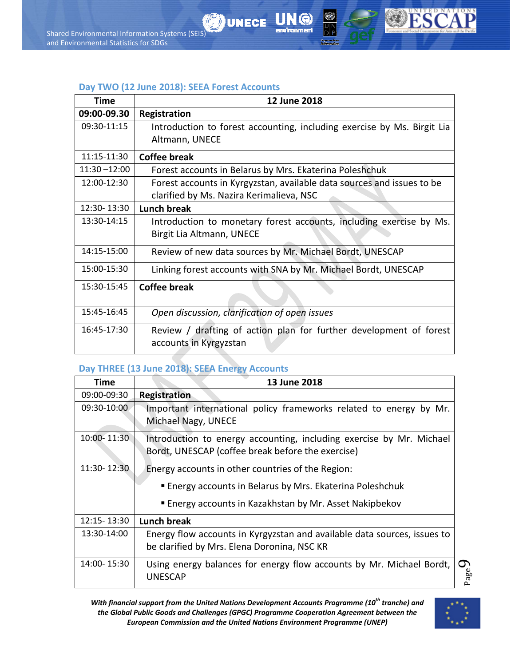



#### **Day TWO (12 June 2018): SEEA Forest Accounts**

| <b>Time</b>     | 12 June 2018                                                                                                       |
|-----------------|--------------------------------------------------------------------------------------------------------------------|
| 09:00-09.30     | <b>Registration</b>                                                                                                |
| 09:30-11:15     | Introduction to forest accounting, including exercise by Ms. Birgit Lia<br>Altmann, UNECE                          |
| 11:15-11:30     | <b>Coffee break</b>                                                                                                |
| $11:30 - 12:00$ | Forest accounts in Belarus by Mrs. Ekaterina Poleshchuk                                                            |
| 12:00-12:30     | Forest accounts in Kyrgyzstan, available data sources and issues to be<br>clarified by Ms. Nazira Kerimalieva, NSC |
| 12:30-13:30     | <b>Lunch break</b>                                                                                                 |
| 13:30-14:15     | Introduction to monetary forest accounts, including exercise by Ms.<br>Birgit Lia Altmann, UNECE                   |
| 14:15-15:00     | Review of new data sources by Mr. Michael Bordt, UNESCAP                                                           |
| 15:00-15:30     | Linking forest accounts with SNA by Mr. Michael Bordt, UNESCAP                                                     |
| 15:30-15:45     | <b>Coffee break</b>                                                                                                |
| 15:45-16:45     | Open discussion, clarification of open issues                                                                      |
| 16:45-17:30     | Review / drafting of action plan for further development of forest<br>accounts in Kyrgyzstan                       |

#### **Day THREE (13 June 2018): SEEA Energy Accounts**

| Time        | 13 June 2018                                                                                                              |   |
|-------------|---------------------------------------------------------------------------------------------------------------------------|---|
| 09:00-09:30 | <b>Registration</b>                                                                                                       |   |
| 09:30-10:00 | Important international policy frameworks related to energy by Mr.<br>Michael Nagy, UNECE                                 |   |
| 10:00-11:30 | Introduction to energy accounting, including exercise by Mr. Michael<br>Bordt, UNESCAP (coffee break before the exercise) |   |
| 11:30-12:30 | Energy accounts in other countries of the Region:                                                                         |   |
|             | Energy accounts in Belarus by Mrs. Ekaterina Poleshchuk                                                                   |   |
|             | ■ Energy accounts in Kazakhstan by Mr. Asset Nakipbekov                                                                   |   |
| 12:15-13:30 | <b>Lunch break</b>                                                                                                        |   |
| 13:30-14:00 | Energy flow accounts in Kyrgyzstan and available data sources, issues to<br>be clarified by Mrs. Elena Doronina, NSC KR   |   |
| 14:00-15:30 | Using energy balances for energy flow accounts by Mr. Michael Bordt,<br><b>UNESCAP</b>                                    | ᡋ |

*With financial support from the United Nations Development Accounts Programme (10<sup>th</sup> tranche) and the Global Public Goods and Challenges (GPGC) Programme Cooperation Agreement between the European Commission and the United Nations Environment Programme (UNEP)*

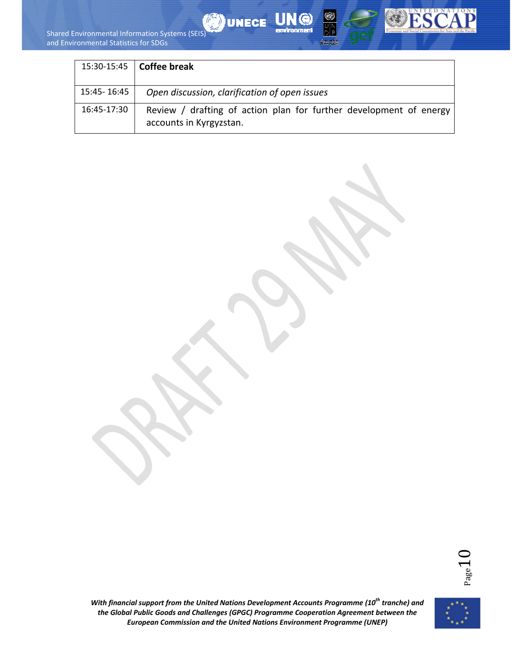



| 15:30-15:45  | Coffee break                                                                                  |
|--------------|-----------------------------------------------------------------------------------------------|
| 15:45- 16:45 | Open discussion, clarification of open issues                                                 |
| 16:45-17:30  | Review / drafting of action plan for further development of energy<br>accounts in Kyrgyzstan. |



*With financial support from the United Nations Development Accounts Programme (10<sup>th</sup> tranche) and the Global Public Goods and Challenges (GPGC) Programme Cooperation Agreement between the European Commission and the United Nations Environment Programme (UNEP)*

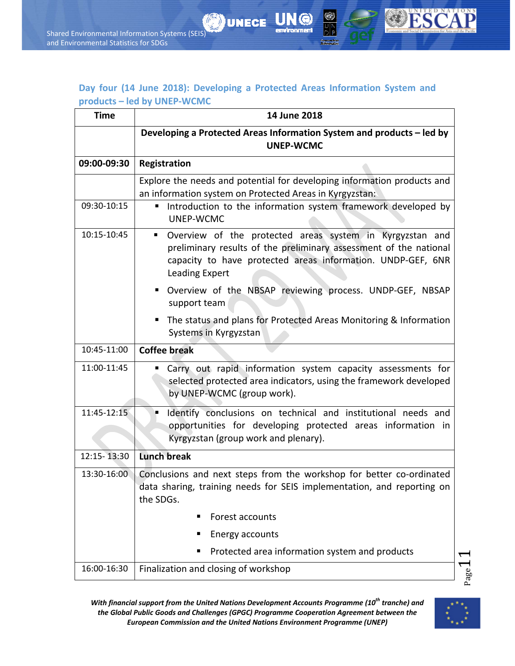### **Day four (14 June 2018): Developing a Protected Areas Information System and products – led by UNEP‐WCMC**

**UNECE** 

| <b>Time</b> | 14 June 2018                                                                                                                                                                                                                             |
|-------------|------------------------------------------------------------------------------------------------------------------------------------------------------------------------------------------------------------------------------------------|
|             | Developing a Protected Areas Information System and products - led by<br><b>UNEP-WCMC</b>                                                                                                                                                |
| 09:00-09:30 | Registration                                                                                                                                                                                                                             |
|             | Explore the needs and potential for developing information products and<br>an information system on Protected Areas in Kyrgyzstan:                                                                                                       |
| 09:30-10:15 | Introduction to the information system framework developed by<br>UNEP-WCMC                                                                                                                                                               |
| 10:15-10:45 | Overview of the protected areas system in Kyrgyzstan and<br><b>Contract</b><br>preliminary results of the preliminary assessment of the national<br>capacity to have protected areas information. UNDP-GEF, 6NR<br><b>Leading Expert</b> |
|             | " Overview of the NBSAP reviewing process. UNDP-GEF, NBSAP<br>support team                                                                                                                                                               |
|             | The status and plans for Protected Areas Monitoring & Information<br>п<br>Systems in Kyrgyzstan                                                                                                                                          |
| 10:45-11:00 | <b>Coffee break</b>                                                                                                                                                                                                                      |
| 11:00-11:45 | Carry out rapid information system capacity assessments for<br>selected protected area indicators, using the framework developed<br>by UNEP-WCMC (group work).                                                                           |
| 11:45-12:15 | Identify conclusions on technical and institutional needs and<br>п<br>opportunities for developing protected areas information in<br>Kyrgyzstan (group work and plenary).                                                                |
| 12:15-13:30 | <b>Lunch break</b>                                                                                                                                                                                                                       |
| 13:30-16:00 | Conclusions and next steps from the workshop for better co-ordinated<br>data sharing, training needs for SEIS implementation, and reporting on<br>the SDGs.                                                                              |
|             | Forest accounts                                                                                                                                                                                                                          |
|             | Energy accounts                                                                                                                                                                                                                          |
|             | Protected area information system and products                                                                                                                                                                                           |
| 16:00-16:30 | Finalization and closing of workshop                                                                                                                                                                                                     |